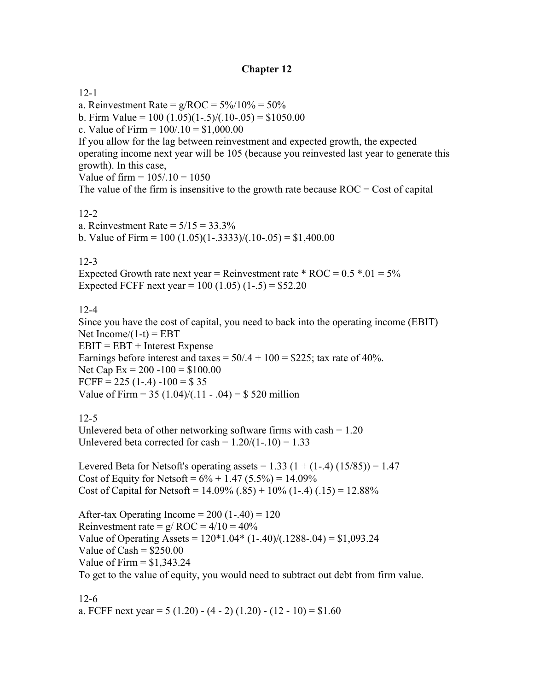## **Chapter 12**

#### 12-1

a. Reinvestment Rate =  $g/ROC = 5\%/10\% = 50\%$ 

b. Firm Value =  $100 (1.05)(1-.5)/(1.0-.05) = $1050.00$ 

c. Value of Firm =  $100/.10 = $1,000.00$ 

If you allow for the lag between reinvestment and expected growth, the expected operating income next year will be 105 (because you reinvested last year to generate this growth). In this case,

Value of firm  $= 105/0.10 = 1050$ 

The value of the firm is insensitive to the growth rate because  $ROC = Cost$  of capital

## 12-2

a. Reinvestment Rate =  $5/15 = 33.3\%$ b. Value of Firm =  $100 (1.05)(1-.3333)/(1.0-.05) = $1,400.00$ 

## $12-3$

Expected Growth rate next year = Reinvestment rate  $*$  ROC = 0.5  $*$ .01 = 5% Expected FCFF next year =  $100 (1.05) (1-.5) = $52.20$ 

## 12-4

Since you have the cost of capital, you need to back into the operating income (EBIT) Net Income/ $(1-t)$  = EBT  $EBIT = EBT + Interest$  Expense Earnings before interest and taxes =  $50/A + 100 = $225$ ; tax rate of 40%. Net Cap Ex =  $200 - 100 = $100.00$ FCFF =  $225(1-4) - 100 = $35$ Value of Firm =  $35 (1.04)/(11 - .04) = $520$  million

# 12-5

Unlevered beta of other networking software firms with  $cash = 1.20$ Unlevered beta corrected for cash =  $1.20/(1-.10) = 1.33$ 

Levered Beta for Netsoft's operating assets =  $1.33$  (1 + (1-.4) (15/85)) = 1.47 Cost of Equity for Netsoft =  $6\% + 1.47$  (5.5%) = 14.09% Cost of Capital for Netsoft =  $14.09\%$  (.85) +  $10\%$  (1-.4) (.15) =  $12.88\%$ 

After-tax Operating Income =  $200(1-.40) = 120$ Reinvestment rate =  $g/ROC = 4/10 = 40%$ Value of Operating Assets =  $120*1.04*(1-.40)/(0.1288-0.04) = $1,093.24$ Value of  $Cash = $250.00$ Value of Firm  $=$  \$1,343,24 To get to the value of equity, you would need to subtract out debt from firm value.

12-6 a. FCFF next year =  $5(1.20) - (4 - 2)(1.20) - (12 - 10) = $1.60$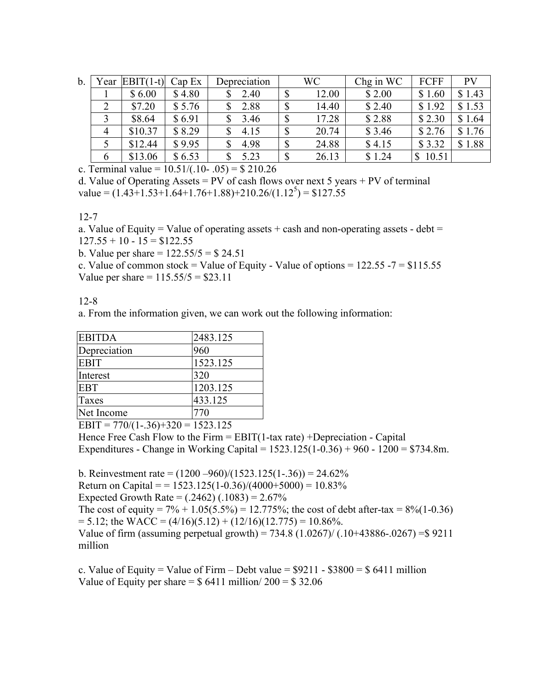| b. | ∕ ear | $EBIT(1-t)$ | Cap Ex | Depreciation |   | WC    | Chg in WC | FCFF        | PV     |
|----|-------|-------------|--------|--------------|---|-------|-----------|-------------|--------|
|    |       | \$6.00      | \$4.80 | 2.40         | D | 12.00 | \$2.00    | \$1.60      | \$1.43 |
|    |       | \$7.20      | \$5.76 | 2.88         |   | 14.40 | \$2.40    | \$1.92      | \$1.53 |
|    |       | \$8.64      | \$6.91 | 3.46         | D | 17.28 | \$2.88    | \$2.30      | \$1.64 |
|    |       | \$10.37     | \$8.29 | 4.15         |   | 20.74 | \$3.46    | \$2.76      | \$1.76 |
|    |       | \$12.44     | \$9.95 | 4.98         | D | 24.88 | \$4.15    | \$3.32      | \$1.88 |
|    | 6     | \$13.06     | \$6.53 | 5.23         | ⋒ | 26.13 | \$1.24    | 10.51<br>\$ |        |

c. Terminal value =  $10.51/(0.10 - 0.05) = $210.26$ 

d. Value of Operating Assets =  $PV$  of cash flows over next 5 years +  $PV$  of terminal value =  $(1.43 \div 1.53 \div 1.64 \div 1.76 \div 1.88) \div 210.26/(1.12^5) = $127.55$ 

12-7

a. Value of Equity = Value of operating assets  $+$  cash and non-operating assets - debt =  $127.55 + 10 - 15 = $122.55$ 

b. Value per share  $= 122.55/5 = $24.51$ 

c. Value of common stock = Value of Equity - Value of options =  $122.55 - 7 = $115.55$ Value per share =  $115.55/5 = $23.11$ 

12-8

a. From the information given, we can work out the following information:

| <b>EBITDA</b> | 2483.125 |
|---------------|----------|
| Depreciation  | 960      |
| <b>EBIT</b>   | 1523.125 |
| Interest      | 320      |
| <b>EBT</b>    | 1203.125 |
| Taxes         | 433.125  |
| Net Income    | 770      |

EBIT =  $770/(1-.36)+320 = 1523.125$ 

Hence Free Cash Flow to the Firm = EBIT(1-tax rate) +Depreciation - Capital Expenditures - Change in Working Capital = 1523.125(1-0.36) + 960 - 1200 = \$734.8m.

b. Reinvestment rate =  $(1200 - 960)/(1523.125(1-.36)) = 24.62\%$ 

Return on Capital = =  $1523.125(1-0.36)/(4000+5000) = 10.83\%$ 

Expected Growth Rate =  $(.2462) (.1083) = 2.67\%$ 

The cost of equity =  $7\% + 1.05(5.5\%) = 12.775\%$ ; the cost of debt after-tax =  $8\%(1-0.36)$  $= 5.12$ ; the WACC =  $(4/16)(5.12) + (12/16)(12.775) = 10.86\%$ .

Value of firm (assuming perpetual growth) =  $734.8$  (1.0267)/ (.10+43886-.0267) = \$9211 million

c. Value of Equity = Value of Firm – Debt value =  $$9211 - $3800 = $6411$  million Value of Equity per share  $=$  \$ 6411 million/ 200  $=$  \$ 32.06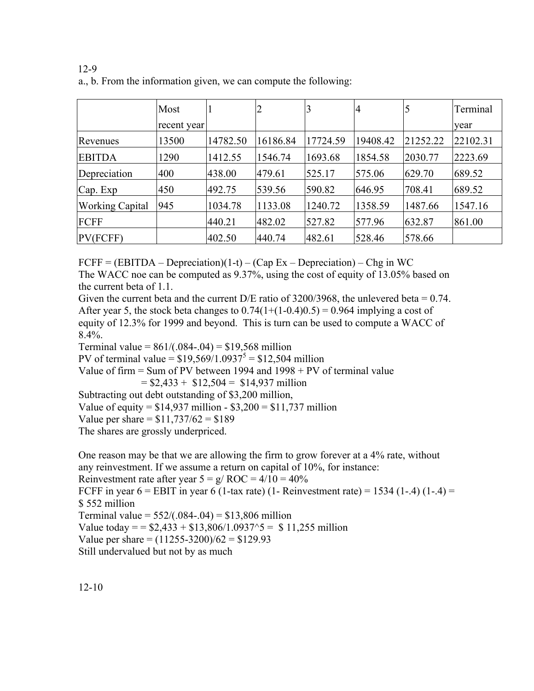|                        | Most        |          | 2        |          | $\overline{4}$ | 5        | Terminal |
|------------------------|-------------|----------|----------|----------|----------------|----------|----------|
|                        | recent year |          |          |          |                |          | year     |
| Revenues               | 13500       | 14782.50 | 16186.84 | 17724.59 | 19408.42       | 21252.22 | 22102.31 |
| <b>EBITDA</b>          | 1290        | 1412.55  | 1546.74  | 1693.68  | 1854.58        | 2030.77  | 2223.69  |
| Depreciation           | 400         | 438.00   | 479.61   | 525.17   | 575.06         | 629.70   | 689.52   |
| Cap. Exp               | 450         | 492.75   | 539.56   | 590.82   | 646.95         | 708.41   | 689.52   |
| <b>Working Capital</b> | 945         | 1034.78  | 1133.08  | 1240.72  | 1358.59        | 1487.66  | 1547.16  |
| FCFF                   |             | 440.21   | 482.02   | 527.82   | 577.96         | 632.87   | 861.00   |
| PV(FCFF)               |             | 402.50   | 440.74   | 482.61   | 528.46         | 578.66   |          |

12-9 a., b. From the information given, we can compute the following:

 $FCFF = (EBITDA - Depreciation)(1-t) - (Cap Ex - Depreciation) - Chg in WC$ 

The WACC noe can be computed as 9.37%, using the cost of equity of 13.05% based on the current beta of 1.1.

Given the current beta and the current D/E ratio of 3200/3968, the unlevered beta = 0.74. After year 5, the stock beta changes to  $0.74(1+(1-0.4)0.5) = 0.964$  implying a cost of equity of 12.3% for 1999 and beyond. This is turn can be used to compute a WACC of 8.4%.

Terminal value =  $861/(0.084 - 0.04) = $19,568$  million

PV of terminal value =  $$19,569/1.0937^5 = $12,504$  million

Value of firm = Sum of PV between 1994 and 1998 + PV of terminal value

 $= $2,433 + $12,504 = $14,937$  million

Subtracting out debt outstanding of \$3,200 million,

Value of equity =  $$14,937$  million -  $$3,200 = $11,737$  million

Value per share  $= $11,737/62 = $189$ 

The shares are grossly underpriced.

One reason may be that we are allowing the firm to grow forever at a 4% rate, without any reinvestment. If we assume a return on capital of 10%, for instance: Reinvestment rate after year  $5 = g/ROC = 4/10 = 40\%$ 

FCFF in year  $6 =$  EBIT in year 6 (1-tax rate) (1- Reinvestment rate) = 1534 (1-.4) (1-.4) = \$ 552 million

Terminal value =  $552/(0.084-0.04) = $13,806$  million

Value today = =  $$2,433 + $13,806/1.0937$  ^5 = \$ 11,255 million

Value per share  $= (11255 - 3200)/62 = $129.93$ 

Still undervalued but not by as much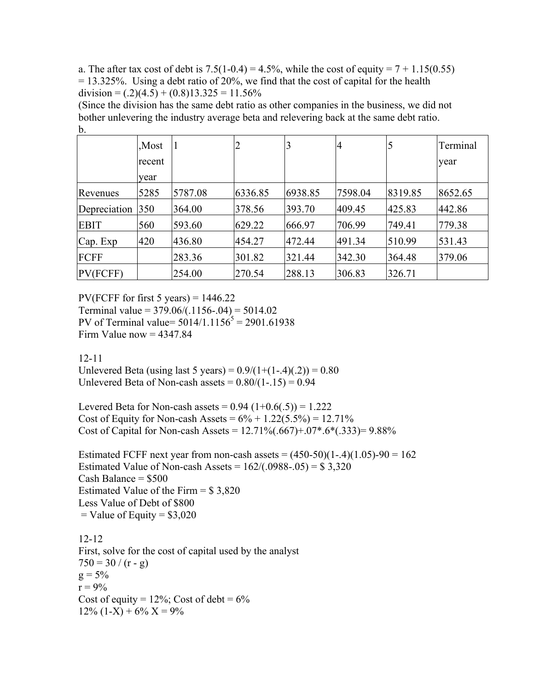a. The after tax cost of debt is  $7.5(1-0.4) = 4.5\%$ , while the cost of equity =  $7 + 1.15(0.55)$  $= 13.325\%$ . Using a debt ratio of 20%, we find that the cost of capital for the health division =  $(.2)(4.5) + (0.8)13.325 = 11.56\%$ 

(Since the division has the same debt ratio as other companies in the business, we did not bother unlevering the industry average beta and relevering back at the same debt ratio. b.

|              | Most.  |         | ∠       | 3       | 4       |         | Terminal |
|--------------|--------|---------|---------|---------|---------|---------|----------|
|              | recent |         |         |         |         |         | year     |
|              | year   |         |         |         |         |         |          |
| Revenues     | 5285   | 5787.08 | 6336.85 | 6938.85 | 7598.04 | 8319.85 | 8652.65  |
| Depreciation | 350    | 364.00  | 378.56  | 393.70  | 409.45  | 425.83  | 442.86   |
| <b>EBIT</b>  | 560    | 593.60  | 629.22  | 666.97  | 706.99  | 749.41  | 779.38   |
| Cap. Exp     | 420    | 436.80  | 454.27  | 472.44  | 491.34  | 510.99  | 531.43   |
| FCFF         |        | 283.36  | 301.82  | 321.44  | 342.30  | 364.48  | 379.06   |
| PV(FCFF)     |        | 254.00  | 270.54  | 288.13  | 306.83  | 326.71  |          |

PV(FCFF for first 5 years) =  $1446.22$ Terminal value =  $379.06/(0.1156-0.04) = 5014.02$ PV of Terminal value=  $5014/1.1156^5 = 2901.61938$ Firm Value now  $= 4347.84$ 

#### 12-11

Unlevered Beta (using last 5 years) =  $0.9/(1+(1-.4)(.2)) = 0.80$ Unlevered Beta of Non-cash assets  $= 0.80/(1-.15) = 0.94$ 

Levered Beta for Non-cash assets =  $0.94$   $(1+0.6(.5)) = 1.222$ Cost of Equity for Non-cash Assets =  $6\% + 1.22(5.5\%) = 12.71\%$ Cost of Capital for Non-cash Assets =  $12.71\%(.667) + .07*.6*(.333) = 9.88\%$ 

Estimated FCFF next year from non-cash assets =  $(450-50)(1-.4)(1.05)$ -90 = 162 Estimated Value of Non-cash Assets =  $162/(0.0988-0.05) = $3,320$ Cash Balance  $=$  \$500 Estimated Value of the Firm = \$ 3,820 Less Value of Debt of \$800  $=$  Value of Equity  $=$  \$3,020

12-12 First, solve for the cost of capital used by the analyst  $750 = 30 / (r - g)$  $g = 5\%$  $r = 9\%$ Cost of equity =  $12\%$ ; Cost of debt =  $6\%$  $12\%$  (1-X) + 6% X = 9%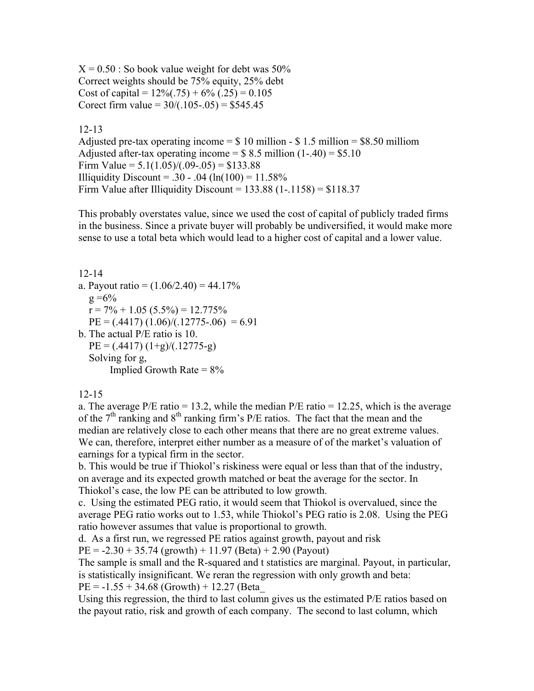$X = 0.50$ : So book value weight for debt was 50% Correct weights should be 75% equity, 25% debt Cost of capital =  $12\%(.75) + 6\%(.25) = 0.105$ Corect firm value =  $30/(.105-.05) = $545.45$ 

12-13

Adjusted pre-tax operating income  $=$  \$ 10 million - \$ 1.5 million = \$8.50 milliom Adjusted after-tax operating income =  $$ 8.5$  million (1-.40) = \$5.10 Firm Value =  $5.1(1.05)/(0.09-0.05) = $133.88$ Illiquidity Discount = .30 - .04 (ln(100) =  $11.58\%$ Firm Value after Illiquidity Discount =  $133.88$  (1-.1158) = \$118.37

This probably overstates value, since we used the cost of capital of publicly traded firms in the business. Since a private buyer will probably be undiversified, it would make more sense to use a total beta which would lead to a higher cost of capital and a lower value.

12-14 a. Payout ratio =  $(1.06/2.40)$  = 44.17%  $g = 6\%$  $r = 7\% + 1.05$  (5.5%) = 12.775%  $PE = (0.4417) (1.06)/(0.12775-0.06) = 6.91$ b. The actual P/E ratio is 10.  $PE = (0.4417)(1+g)/(0.12775-g)$  Solving for g, Implied Growth Rate  $= 8\%$ 

## 12-15

a. The average  $P/E$  ratio = 13.2, while the median  $P/E$  ratio = 12.25, which is the average of the  $7<sup>th</sup>$  ranking and  $8<sup>th</sup>$  ranking firm's P/E ratios. The fact that the mean and the median are relatively close to each other means that there are no great extreme values. We can, therefore, interpret either number as a measure of of the market's valuation of earnings for a typical firm in the sector.

b. This would be true if Thiokol's riskiness were equal or less than that of the industry, on average and its expected growth matched or beat the average for the sector. In Thiokol's case, the low PE can be attributed to low growth.

c. Using the estimated PEG ratio, it would seem that Thiokol is overvalued, since the average PEG ratio works out to 1.53, while Thiokol's PEG ratio is 2.08. Using the PEG ratio however assumes that value is proportional to growth.

d. As a first run, we regressed PE ratios against growth, payout and risk

 $PE = -2.30 + 35.74$  (growth) + 11.97 (Beta) + 2.90 (Payout)

The sample is small and the R-squared and t statistics are marginal. Payout, in particular, is statistically insignificant. We reran the regression with only growth and beta:  $PE = -1.55 + 34.68$  (Growth) + 12.27 (Beta

Using this regression, the third to last column gives us the estimated P/E ratios based on the payout ratio, risk and growth of each company. The second to last column, which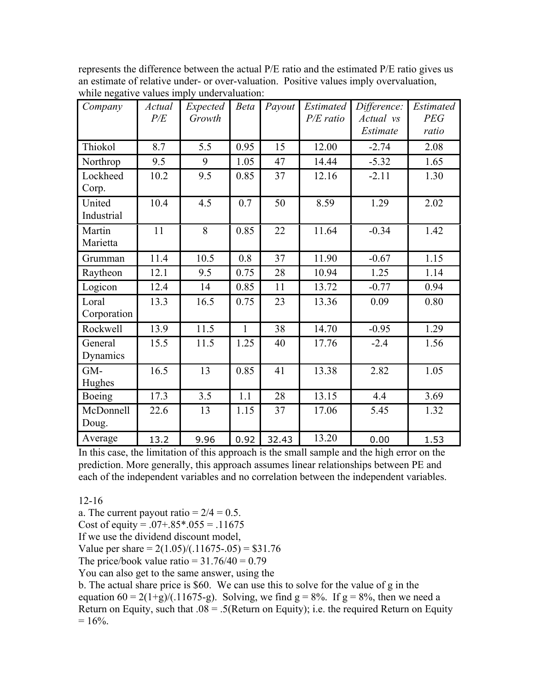| Company              | Actual<br>P/E | Expected<br>Growth | <b>Beta</b>  | Payout | Estimated<br>$P/E$ ratio | Difference:<br>Actual vs<br>Estimate | <b>Estimated</b><br><b>PEG</b><br>ratio |
|----------------------|---------------|--------------------|--------------|--------|--------------------------|--------------------------------------|-----------------------------------------|
| Thiokol              | 8.7           | 5.5                | 0.95         | 15     | 12.00                    | $-2.74$                              | 2.08                                    |
| Northrop             | 9.5           | 9                  | 1.05         | 47     | 14.44                    | $-5.32$                              | 1.65                                    |
| Lockheed<br>Corp.    | 10.2          | 9.5                | 0.85         | 37     | 12.16                    | $-2.11$                              | 1.30                                    |
| United<br>Industrial | 10.4          | 4.5                | 0.7          | 50     | 8.59                     | 1.29                                 | 2.02                                    |
| Martin<br>Marietta   | 11            | 8                  | 0.85         | 22     | 11.64                    | $-0.34$                              | 1.42                                    |
| Grumman              | 11.4          | 10.5               | 0.8          | 37     | 11.90                    | $-0.67$                              | 1.15                                    |
| Raytheon             | 12.1          | 9.5                | 0.75         | 28     | 10.94                    | 1.25                                 | 1.14                                    |
| Logicon              | 12.4          | 14                 | 0.85         | 11     | 13.72                    | $-0.77$                              | 0.94                                    |
| Loral<br>Corporation | 13.3          | 16.5               | 0.75         | 23     | 13.36                    | 0.09                                 | 0.80                                    |
| Rockwell             | 13.9          | 11.5               | $\mathbf{1}$ | 38     | 14.70                    | $-0.95$                              | 1.29                                    |
| General<br>Dynamics  | 15.5          | 11.5               | 1.25         | 40     | 17.76                    | $-2.4$                               | 1.56                                    |
| GM-<br>Hughes        | 16.5          | 13                 | 0.85         | 41     | 13.38                    | 2.82                                 | 1.05                                    |
| Boeing               | 17.3          | 3.5                | 1.1          | 28     | 13.15                    | 4.4                                  | 3.69                                    |
| McDonnell<br>Doug.   | 22.6          | 13                 | 1.15         | 37     | 17.06                    | 5.45                                 | 1.32                                    |
| Average              | 13.2          | 9.96               | 0.92         | 32.43  | 13.20                    | 0.00                                 | 1.53                                    |

represents the difference between the actual P/E ratio and the estimated P/E ratio gives us an estimate of relative under- or over-valuation. Positive values imply overvaluation, while negative values imply undervaluation:

In this case, the limitation of this approach is the small sample and the high error on the prediction. More generally, this approach assumes linear relationships between PE and each of the independent variables and no correlation between the independent variables.

12-16

a. The current payout ratio  $= 2/4 = 0.5$ .

Cost of equity =  $.07 + .85 * .055 = .11675$ 

If we use the dividend discount model,

Value per share =  $2(1.05)/(0.11675-0.05) = $31.76$ 

The price/book value ratio =  $31.76/40 = 0.79$ 

You can also get to the same answer, using the

b. The actual share price is \$60. We can use this to solve for the value of g in the equation  $60 = 2(1+g)/(0.11675-g)$ . Solving, we find  $g = 8\%$ . If  $g = 8\%$ , then we need a Return on Equity, such that  $.08 = .5$ (Return on Equity); i.e. the required Return on Equity  $= 16\%$ .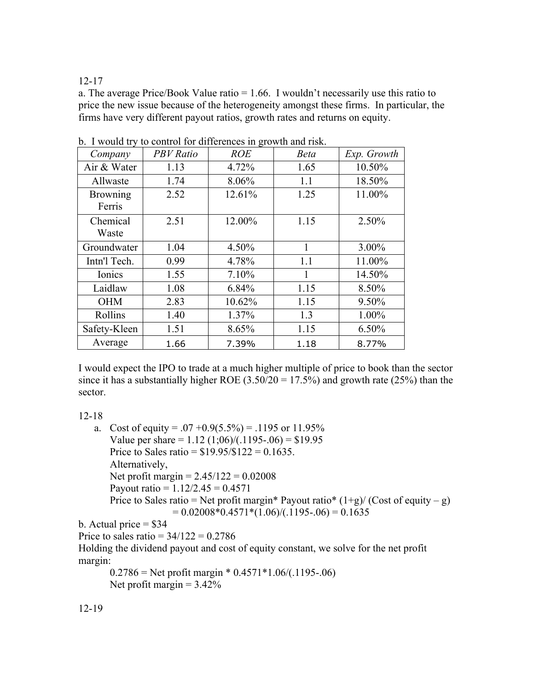#### 12-17

a. The average Price/Book Value ratio = 1.66. I wouldn't necessarily use this ratio to price the new issue because of the heterogeneity amongst these firms. In particular, the firms have very different payout ratios, growth rates and returns on equity.

| Company                   | <b>PBV</b> Ratio | <b>ROE</b> | <b>Beta</b> | Exp. Growth |
|---------------------------|------------------|------------|-------------|-------------|
| Air & Water               | 1.13             | 4.72%      | 1.65        | 10.50%      |
| Allwaste                  | 1.74             | 8.06%      | 1.1         | 18.50%      |
| <b>Browning</b><br>Ferris | 2.52             | 12.61%     | 1.25        | 11.00%      |
| Chemical<br>Waste         | 2.51             | 12.00%     | 1.15        | 2.50%       |
| Groundwater               | 1.04             | 4.50%      | 1           | $3.00\%$    |
| Intn'l Tech.              | 0.99             | 4.78%      | 1.1         | 11.00%      |
| Ionics                    | 1.55             | 7.10%      | 1           | 14.50%      |
| Laidlaw                   | 1.08             | 6.84%      | 1.15        | 8.50%       |
| <b>OHM</b>                | 2.83             | 10.62%     | 1.15        | 9.50%       |
| Rollins                   | 1.40             | 1.37%      | 1.3         | 1.00%       |
| Safety-Kleen              | 1.51             | 8.65%      | 1.15        | $6.50\%$    |
| Average                   | 1.66             | 7.39%      | 1.18        | 8.77%       |

b. I would try to control for differences in growth and risk.

I would expect the IPO to trade at a much higher multiple of price to book than the sector since it has a substantially higher ROE  $(3.50/20 = 17.5%)$  and growth rate  $(25%)$  than the sector.

12-18

a. Cost of equity =  $.07 + 0.9(5.5\%) = .1195$  or 11.95% Value per share =  $1.12$  (1;06)/(.1195-.06) = \$19.95 Price to Sales ratio =  $$19.95/\$122 = 0.1635$ . Alternatively, Net profit margin =  $2.45/122 = 0.02008$ Payout ratio =  $1.12/2.45 = 0.4571$ Price to Sales ratio = Net profit margin\* Payout ratio  $(1+g)/(Cost of equity - g)$  $= 0.02008 * 0.4571 * (1.06) / (.1195 - .06) = 0.1635$ b. Actual price  $= $34$ Price to sales ratio =  $34/122 = 0.2786$ 

Holding the dividend payout and cost of equity constant, we solve for the net profit margin:

 $0.2786$  = Net profit margin \*  $0.4571$  \*  $1.06/(0.1195-0.06)$ Net profit margin  $= 3.42\%$ 

12-19